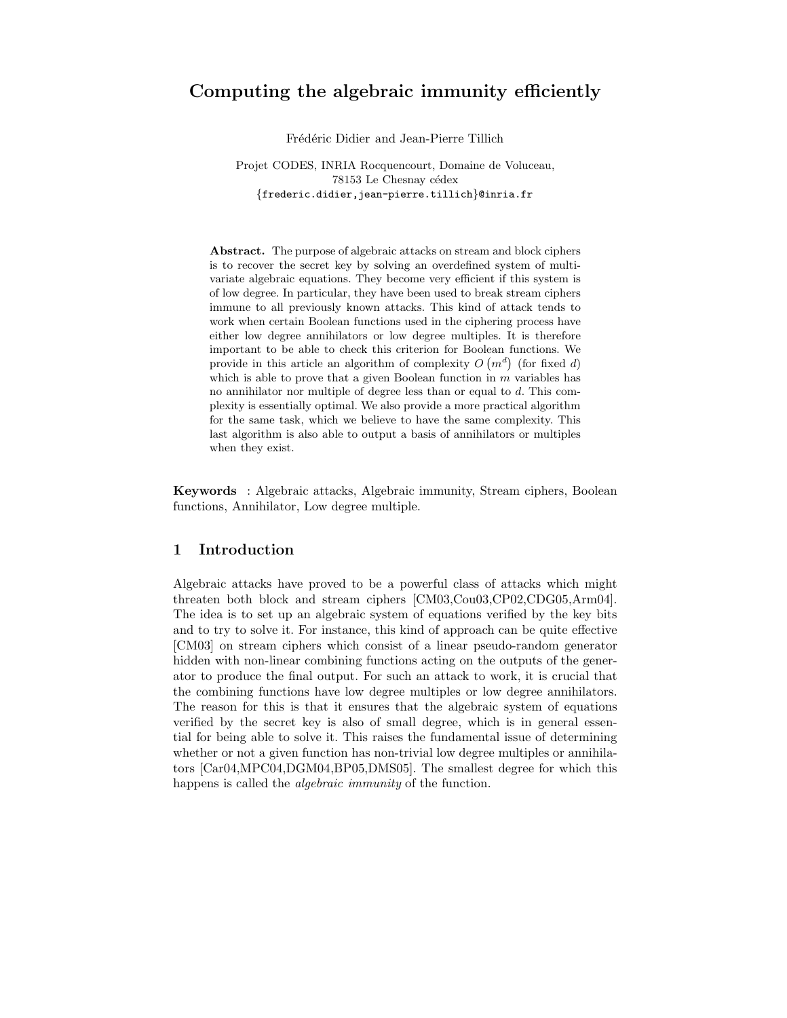# Computing the algebraic immunity efficiently

Frédéric Didier and Jean-Pierre Tillich

Projet CODES, INRIA Rocquencourt, Domaine de Voluceau, 78153 Le Chesnay cédex {frederic.didier,jean-pierre.tillich}@inria.fr

Abstract. The purpose of algebraic attacks on stream and block ciphers is to recover the secret key by solving an overdefined system of multivariate algebraic equations. They become very efficient if this system is of low degree. In particular, they have been used to break stream ciphers immune to all previously known attacks. This kind of attack tends to work when certain Boolean functions used in the ciphering process have either low degree annihilators or low degree multiples. It is therefore important to be able to check this criterion for Boolean functions. We provide in this article an algorithm of complexity  $O(m^d)$  (for fixed d) which is able to prove that a given Boolean function in  $m$  variables has no annihilator nor multiple of degree less than or equal to d. This complexity is essentially optimal. We also provide a more practical algorithm for the same task, which we believe to have the same complexity. This last algorithm is also able to output a basis of annihilators or multiples when they exist.

Keywords : Algebraic attacks, Algebraic immunity, Stream ciphers, Boolean functions, Annihilator, Low degree multiple.

## 1 Introduction

Algebraic attacks have proved to be a powerful class of attacks which might threaten both block and stream ciphers [CM03,Cou03,CP02,CDG05,Arm04]. The idea is to set up an algebraic system of equations verified by the key bits and to try to solve it. For instance, this kind of approach can be quite effective [CM03] on stream ciphers which consist of a linear pseudo-random generator hidden with non-linear combining functions acting on the outputs of the generator to produce the final output. For such an attack to work, it is crucial that the combining functions have low degree multiples or low degree annihilators. The reason for this is that it ensures that the algebraic system of equations verified by the secret key is also of small degree, which is in general essential for being able to solve it. This raises the fundamental issue of determining whether or not a given function has non-trivial low degree multiples or annihilators [Car04,MPC04,DGM04,BP05,DMS05]. The smallest degree for which this happens is called the *algebraic immunity* of the function.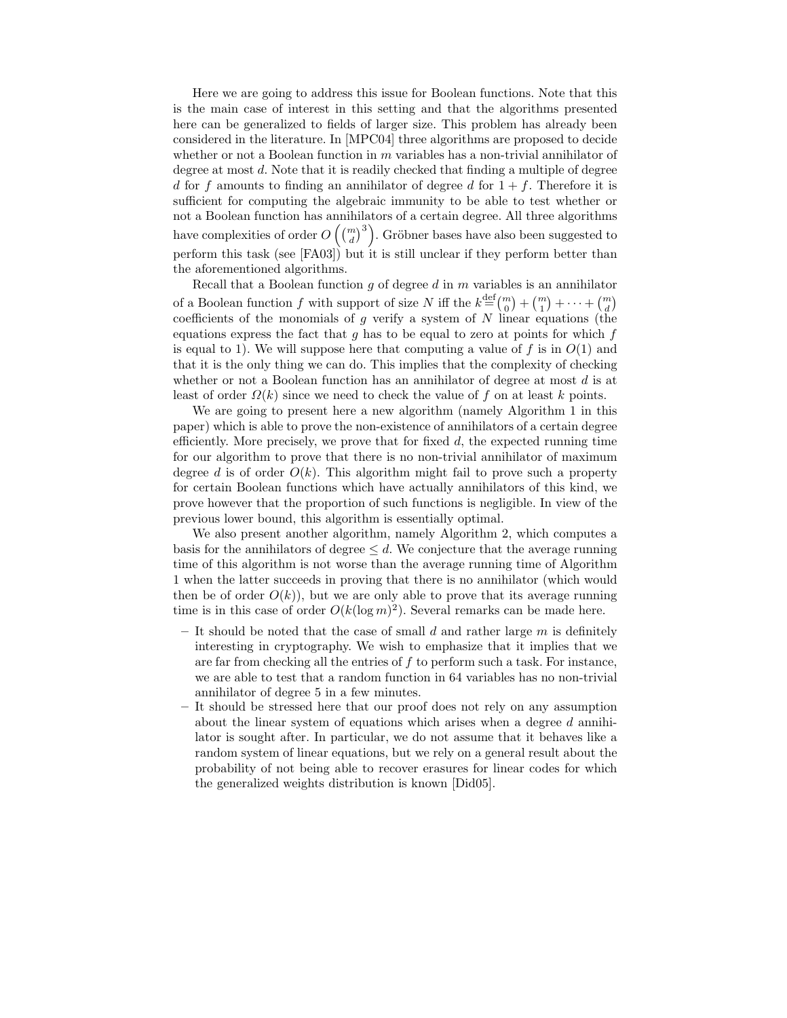Here we are going to address this issue for Boolean functions. Note that this is the main case of interest in this setting and that the algorithms presented here can be generalized to fields of larger size. This problem has already been considered in the literature. In [MPC04] three algorithms are proposed to decide whether or not a Boolean function in  $m$  variables has a non-trivial annihilator of degree at most d. Note that it is readily checked that finding a multiple of degree d for f amounts to finding an annihilator of degree d for  $1 + f$ . Therefore it is sufficient for computing the algebraic immunity to be able to test whether or not a Boolean function has annihilators of a certain degree. All three algorithms have complexities of order  $O\left(\binom{m}{d}^3\right)$ . Gröbner bases have also been suggested to perform this task (see [FA03]) but it is still unclear if they perform better than the aforementioned algorithms.

Recall that a Boolean function  $g$  of degree  $d$  in  $m$  variables is an annihilator of a Boolean function f with support of size N iff the  $k \stackrel{\text{def}}{=} \binom{m}{0} + \binom{m}{1} + \cdots + \binom{m}{d}$ coefficients of the monomials of  $g$  verify a system of  $N$  linear equations (the equations express the fact that  $g$  has to be equal to zero at points for which  $f$ is equal to 1). We will suppose here that computing a value of f is in  $O(1)$  and that it is the only thing we can do. This implies that the complexity of checking whether or not a Boolean function has an annihilator of degree at most  $d$  is at least of order  $\Omega(k)$  since we need to check the value of f on at least k points.

We are going to present here a new algorithm (namely Algorithm 1 in this paper) which is able to prove the non-existence of annihilators of a certain degree efficiently. More precisely, we prove that for fixed  $d$ , the expected running time for our algorithm to prove that there is no non-trivial annihilator of maximum degree d is of order  $O(k)$ . This algorithm might fail to prove such a property for certain Boolean functions which have actually annihilators of this kind, we prove however that the proportion of such functions is negligible. In view of the previous lower bound, this algorithm is essentially optimal.

We also present another algorithm, namely Algorithm 2, which computes a basis for the annihilators of degree  $\leq d$ . We conjecture that the average running time of this algorithm is not worse than the average running time of Algorithm 1 when the latter succeeds in proving that there is no annihilator (which would then be of order  $O(k)$ , but we are only able to prove that its average running time is in this case of order  $O(k(\log m)^2)$ . Several remarks can be made here.

- It should be noted that the case of small d and rather large  $m$  is definitely interesting in cryptography. We wish to emphasize that it implies that we are far from checking all the entries of f to perform such a task. For instance, we are able to test that a random function in 64 variables has no non-trivial annihilator of degree 5 in a few minutes.
- It should be stressed here that our proof does not rely on any assumption about the linear system of equations which arises when a degree d annihilator is sought after. In particular, we do not assume that it behaves like a random system of linear equations, but we rely on a general result about the probability of not being able to recover erasures for linear codes for which the generalized weights distribution is known [Did05].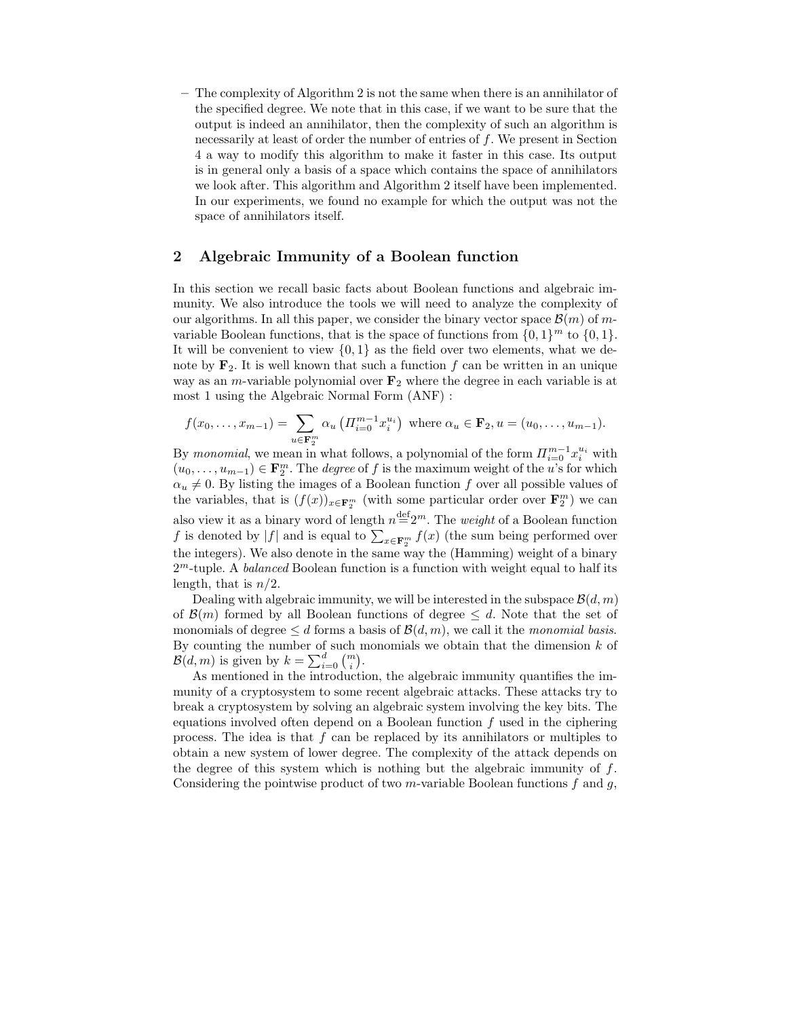– The complexity of Algorithm 2 is not the same when there is an annihilator of the specified degree. We note that in this case, if we want to be sure that the output is indeed an annihilator, then the complexity of such an algorithm is necessarily at least of order the number of entries of f. We present in Section 4 a way to modify this algorithm to make it faster in this case. Its output is in general only a basis of a space which contains the space of annihilators we look after. This algorithm and Algorithm 2 itself have been implemented. In our experiments, we found no example for which the output was not the space of annihilators itself.

## 2 Algebraic Immunity of a Boolean function

In this section we recall basic facts about Boolean functions and algebraic immunity. We also introduce the tools we will need to analyze the complexity of our algorithms. In all this paper, we consider the binary vector space  $\mathcal{B}(m)$  of mvariable Boolean functions, that is the space of functions from  $\{0,1\}^m$  to  $\{0,1\}$ . It will be convenient to view  $\{0,1\}$  as the field over two elements, what we denote by  $\mathbf{F}_2$ . It is well known that such a function f can be written in an unique way as an *m*-variable polynomial over  $\mathbf{F}_2$  where the degree in each variable is at most 1 using the Algebraic Normal Form (ANF) :

$$
f(x_0,...,x_{m-1}) = \sum_{u \in \mathbf{F}_2^m} \alpha_u \left( \Pi_{i=0}^{m-1} x_i^{u_i} \right) \text{ where } \alpha_u \in \mathbf{F}_2, u = (u_0,...,u_{m-1}).
$$

By monomial, we mean in what follows, a polynomial of the form  $\Pi_{i=0}^{m-1}x_i^{u_i}$  with  $(u_0, \ldots, u_{m-1}) \in \mathbf{F}_2^m$ . The *degree* of f is the maximum weight of the u's for which  $\alpha_u \neq 0$ . By listing the images of a Boolean function f over all possible values of the variables, that is  $(f(x))_{x \in \mathbf{F}_2^m}$  (with some particular order over  $\mathbf{F}_2^m$ ) we can also view it as a binary word of length  $n \stackrel{\text{def}}{=} 2^m$ . The *weight* of a Boolean function f is denoted by |f| and is equal to  $\sum_{x \in \mathbf{F}_2^m} f(x)$  (the sum being performed over the integers). We also denote in the same way the (Hamming) weight of a binary  $2<sup>m</sup>$ -tuple. A *balanced* Boolean function is a function with weight equal to half its length, that is  $n/2$ .

Dealing with algebraic immunity, we will be interested in the subspace  $\mathcal{B}(d, m)$ of  $\mathcal{B}(m)$  formed by all Boolean functions of degree  $\leq d$ . Note that the set of monomials of degree  $\leq d$  forms a basis of  $\mathcal{B}(d,m)$ , we call it the monomial basis. By counting the number of such monomials we obtain that the dimension  $k$  of  $\mathcal{B}(d,m)$  is given by  $k = \sum_{i=0}^{d} \binom{m}{i}$ .

As mentioned in the introduction, the algebraic immunity quantifies the immunity of a cryptosystem to some recent algebraic attacks. These attacks try to break a cryptosystem by solving an algebraic system involving the key bits. The equations involved often depend on a Boolean function  $f$  used in the ciphering process. The idea is that  $f$  can be replaced by its annihilators or multiples to obtain a new system of lower degree. The complexity of the attack depends on the degree of this system which is nothing but the algebraic immunity of  $f$ . Considering the pointwise product of two m-variable Boolean functions  $f$  and  $g$ ,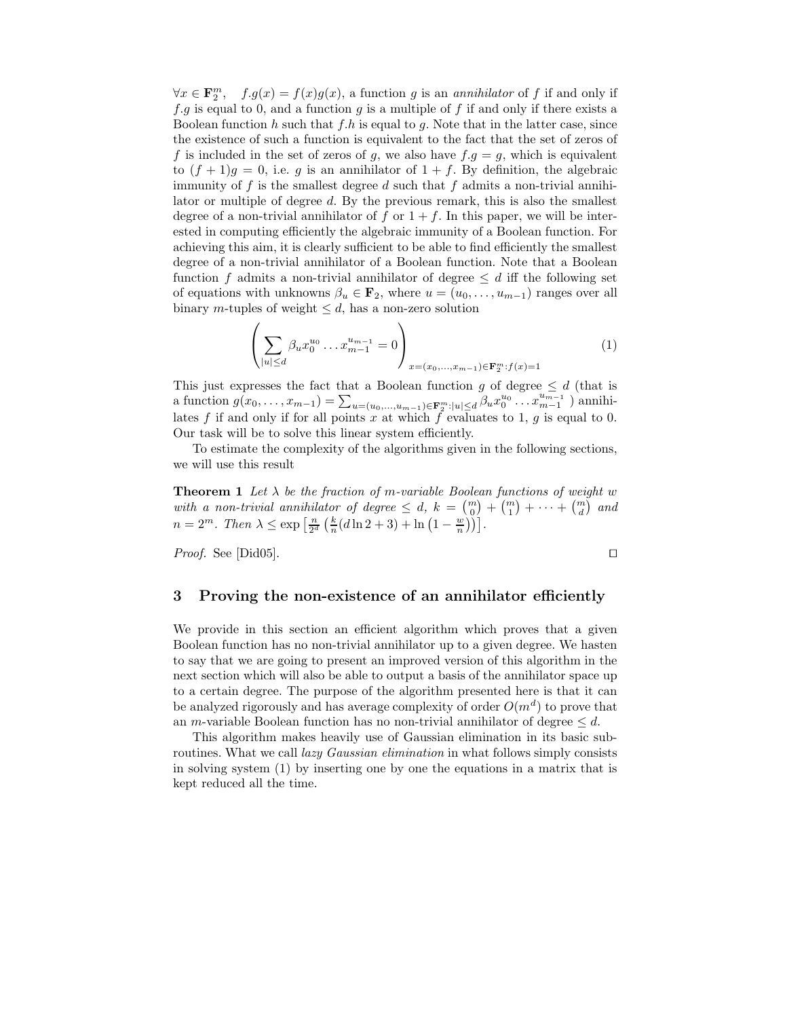$\forall x \in \mathbf{F}_2^m$ ,  $f.g(x) = f(x)g(x)$ , a function g is an annihilator of f if and only if  $f.g$  is equal to 0, and a function g is a multiple of f if and only if there exists a Boolean function h such that  $f.h$  is equal to g. Note that in the latter case, since the existence of such a function is equivalent to the fact that the set of zeros of f is included in the set of zeros of g, we also have  $f.g = g$ , which is equivalent to  $(f+1)g = 0$ , i.e. g is an annihilator of  $1+f$ . By definition, the algebraic immunity of f is the smallest degree d such that f admits a non-trivial annihilator or multiple of degree d. By the previous remark, this is also the smallest degree of a non-trivial annihilator of f or  $1 + f$ . In this paper, we will be interested in computing efficiently the algebraic immunity of a Boolean function. For achieving this aim, it is clearly sufficient to be able to find efficiently the smallest degree of a non-trivial annihilator of a Boolean function. Note that a Boolean function f admits a non-trivial annihilator of degree  $\leq d$  iff the following set of equations with unknowns  $\beta_u \in \mathbf{F}_2$ , where  $u = (u_0, \dots, u_{m-1})$  ranges over all binary m-tuples of weight  $\leq d$ , has a non-zero solution

$$
\left(\sum_{|u| \le d} \beta_u x_0^{u_0} \dots x_{m-1}^{u_{m-1}} = 0\right)_{x = (x_0, \dots, x_{m-1}) \in \mathbf{F}_2^m : f(x) = 1}
$$
\n(1)

This just expresses the fact that a Boolean function g of degree  $\leq d$  (that is a function  $g(x_0, \ldots, x_{m-1}) = \sum_{u=(u_0, \ldots, u_{m-1}) \in \mathbf{F}_2^m : |u| \le d} \beta_u x_0^{u_0} \ldots x_{m-1}^{u_{m-1}}$ ) annihilates f if and only if for all points x at which  $\hat{f}$  evaluates to 1, g is equal to 0. Our task will be to solve this linear system efficiently.

To estimate the complexity of the algorithms given in the following sections, we will use this result

**Theorem 1** Let  $\lambda$  be the fraction of m-variable Boolean functions of weight w with a non-trivial annihilator of degree  $\leq d$ ,  $k = \binom{m}{0} + \binom{m}{1} + \cdots + \binom{m}{d}$  and  $n = 2^m$ . Then  $\lambda \le \exp\left[\frac{n}{2^d} \left(\frac{k}{n} (d \ln 2 + 3) + \ln (1 - \frac{w}{n})\right)\right]$ .

*Proof.* See [Did05].

$$
\Box
$$

## 3 Proving the non-existence of an annihilator efficiently

We provide in this section an efficient algorithm which proves that a given Boolean function has no non-trivial annihilator up to a given degree. We hasten to say that we are going to present an improved version of this algorithm in the next section which will also be able to output a basis of the annihilator space up to a certain degree. The purpose of the algorithm presented here is that it can be analyzed rigorously and has average complexity of order  $O(m^d)$  to prove that an *m*-variable Boolean function has no non-trivial annihilator of degree  $\leq d$ .

This algorithm makes heavily use of Gaussian elimination in its basic subroutines. What we call *lazy Gaussian elimination* in what follows simply consists in solving system (1) by inserting one by one the equations in a matrix that is kept reduced all the time.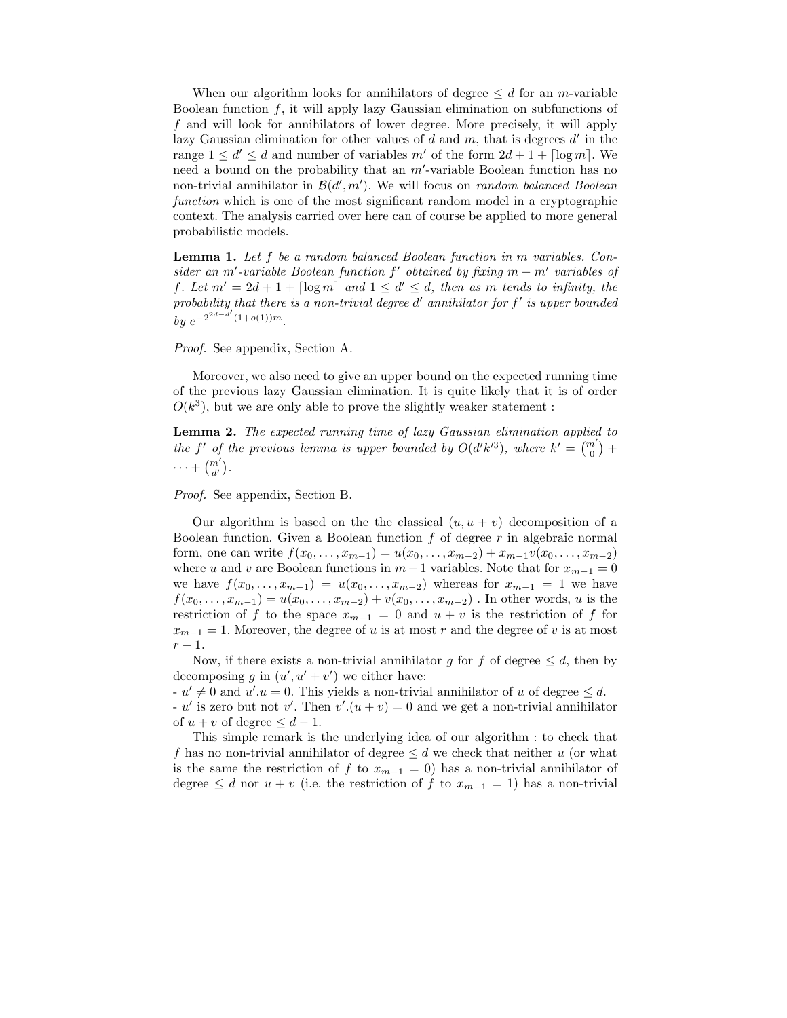When our algorithm looks for annihilators of degree  $\leq d$  for an m-variable Boolean function  $f$ , it will apply lazy Gaussian elimination on subfunctions of f and will look for annihilators of lower degree. More precisely, it will apply lazy Gaussian elimination for other values of  $d$  and  $m$ , that is degrees  $d'$  in the range  $1 \le d' \le d$  and number of variables m' of the form  $2d + 1 + \lceil \log m \rceil$ . We need a bound on the probability that an  $m'$ -variable Boolean function has no non-trivial annihilator in  $\mathcal{B}(d',m')$ . We will focus on *random balanced Boolean* function which is one of the most significant random model in a cryptographic context. The analysis carried over here can of course be applied to more general probabilistic models.

Lemma 1. Let f be a random balanced Boolean function in m variables. Consider an m'-variable Boolean function  $f'$  obtained by fixing  $m - m'$  variables of f. Let  $m' = 2d + 1 + \lceil \log m \rceil$  and  $1 \le d' \le d$ , then as m tends to infinity, the probability that there is a non-trivial degree  $d'$  annihilator for  $f'$  is upper bounded  $by e^{-2^{2d-d'}(1+o(1))m}.$ 

### Proof. See appendix, Section A.

Moreover, we also need to give an upper bound on the expected running time of the previous lazy Gaussian elimination. It is quite likely that it is of order  $O(k^3)$ , but we are only able to prove the slightly weaker statement :

Lemma 2. The expected running time of lazy Gaussian elimination applied to the f' of the previous lemma is upper bounded by  $O(d'k'^3)$ , where  $k' = \binom{m'}{0}$  +  $\cdots + {m' \choose d'}$ .

Proof. See appendix, Section B.

Our algorithm is based on the the classical  $(u, u + v)$  decomposition of a Boolean function. Given a Boolean function  $f$  of degree  $r$  in algebraic normal form, one can write  $f(x_0, \ldots, x_{m-1}) = u(x_0, \ldots, x_{m-2}) + x_{m-1}v(x_0, \ldots, x_{m-2})$ where u and v are Boolean functions in  $m-1$  variables. Note that for  $x_{m-1} = 0$ we have  $f(x_0, \ldots, x_{m-1}) = u(x_0, \ldots, x_{m-2})$  whereas for  $x_{m-1} = 1$  we have  $f(x_0, \ldots, x_{m-1}) = u(x_0, \ldots, x_{m-2}) + v(x_0, \ldots, x_{m-2})$ . In other words, u is the restriction of f to the space  $x_{m-1} = 0$  and  $u + v$  is the restriction of f for  $x_{m-1} = 1$ . Moreover, the degree of u is at most r and the degree of v is at most  $r-1$ .

Now, if there exists a non-trivial annihilator g for f of degree  $\leq d$ , then by decomposing g in  $(u', u' + v')$  we either have:

 $-u' \neq 0$  and  $u'.u = 0$ . This yields a non-trivial annihilator of u of degree  $\leq d$ . - u' is zero but not v'. Then  $v'(u + v) = 0$  and we get a non-trivial annihilator of  $u + v$  of degree  $\leq d - 1$ .

This simple remark is the underlying idea of our algorithm : to check that f has no non-trivial annihilator of degree  $\leq d$  we check that neither u (or what is the same the restriction of f to  $x_{m-1} = 0$ ) has a non-trivial annihilator of degree  $\leq d$  nor  $u + v$  (i.e. the restriction of f to  $x_{m-1} = 1$ ) has a non-trivial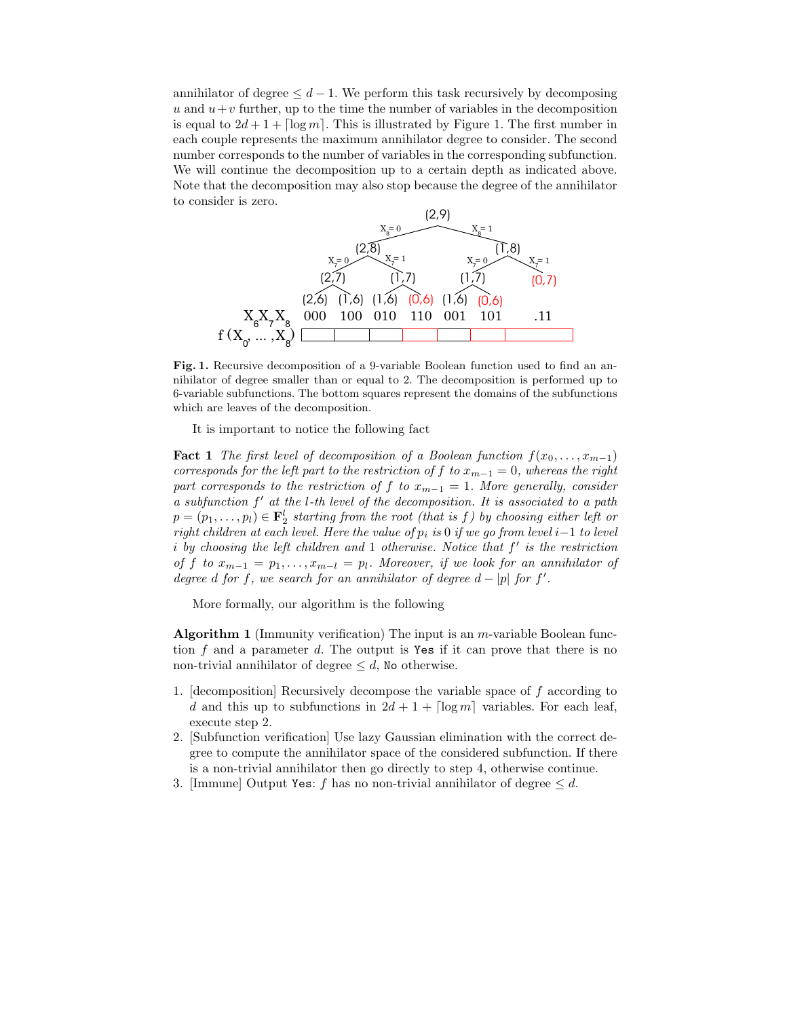annihilator of degree  $\leq d-1$ . We perform this task recursively by decomposing u and  $u+v$  further, up to the time the number of variables in the decomposition is equal to  $2d+1$  +  $\lceil \log m \rceil$ . This is illustrated by Figure 1. The first number in each couple represents the maximum annihilator degree to consider. The second number corresponds to the number of variables in the corresponding subfunction. We will continue the decomposition up to a certain depth as indicated above. Note that the decomposition may also stop because the degree of the annihilator to consider is zero.



Fig. 1. Recursive decomposition of a 9-variable Boolean function used to find an annihilator of degree smaller than or equal to 2. The decomposition is performed up to 6-variable subfunctions. The bottom squares represent the domains of the subfunctions which are leaves of the decomposition.

It is important to notice the following fact

**Fact 1** The first level of decomposition of a Boolean function  $f(x_0, \ldots, x_{m-1})$ corresponds for the left part to the restriction of f to  $x_{m-1} = 0$ , whereas the right part corresponds to the restriction of f to  $x_{m-1} = 1$ . More generally, consider a subfunction  $f'$  at the l-th level of the decomposition. It is associated to a path  $p = (p_1, \ldots, p_l) \in \mathbf{F}_2^l$  starting from the root (that is f) by choosing either left or right children at each level. Here the value of  $p_i$  is 0 if we go from level i–1 to level i by choosing the left children and  $1$  otherwise. Notice that  $f'$  is the restriction of f to  $x_{m-1} = p_1, \ldots, x_{m-l} = p_l$ . Moreover, if we look for an annihilator of degree d for f, we search for an annihilator of degree  $d - |p|$  for f'.

More formally, our algorithm is the following

**Algorithm 1** (Immunity verification) The input is an  $m$ -variable Boolean function  $f$  and a parameter  $d$ . The output is Yes if it can prove that there is no non-trivial annihilator of degree  $\leq d$ , No otherwise.

- 1. [decomposition] Recursively decompose the variable space of f according to d and this up to subfunctions in  $2d + 1 + \lceil \log m \rceil$  variables. For each leaf, execute step 2.
- 2. [Subfunction verification] Use lazy Gaussian elimination with the correct degree to compute the annihilator space of the considered subfunction. If there is a non-trivial annihilator then go directly to step 4, otherwise continue.
- 3. [Immune] Output Yes: f has no non-trivial annihilator of degree  $\leq d$ .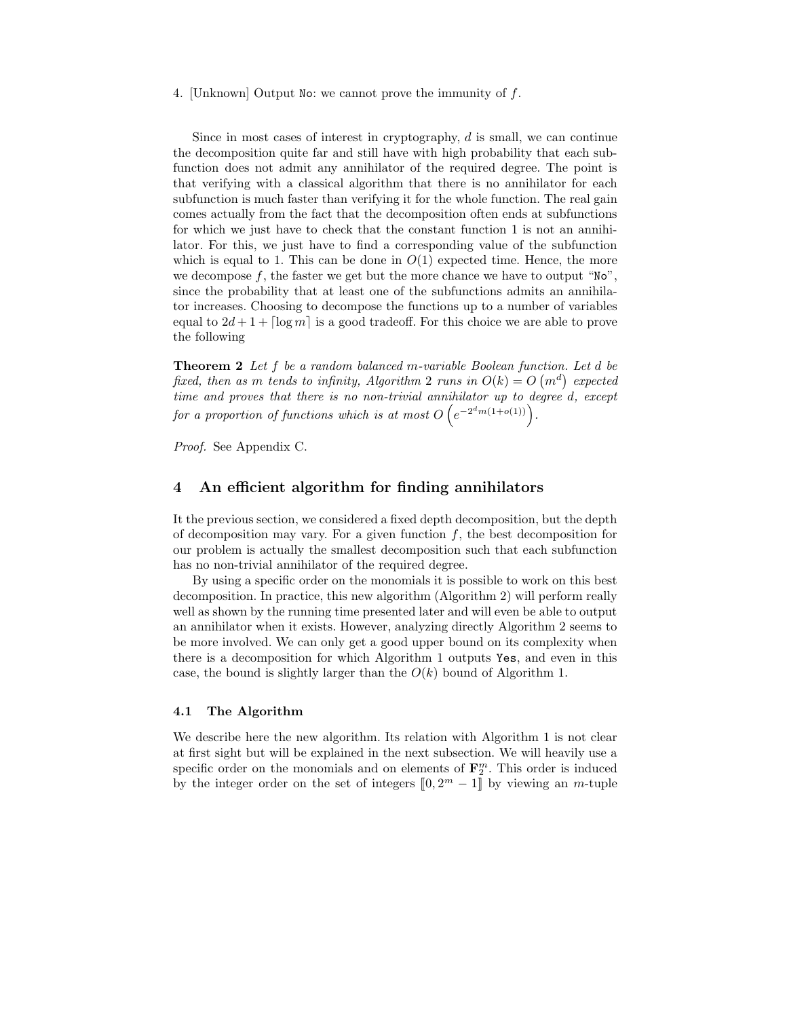4. [Unknown] Output No: we cannot prove the immunity of f.

Since in most cases of interest in cryptography,  $d$  is small, we can continue the decomposition quite far and still have with high probability that each subfunction does not admit any annihilator of the required degree. The point is that verifying with a classical algorithm that there is no annihilator for each subfunction is much faster than verifying it for the whole function. The real gain comes actually from the fact that the decomposition often ends at subfunctions for which we just have to check that the constant function 1 is not an annihilator. For this, we just have to find a corresponding value of the subfunction which is equal to 1. This can be done in  $O(1)$  expected time. Hence, the more we decompose  $f$ , the faster we get but the more chance we have to output "No", since the probability that at least one of the subfunctions admits an annihilator increases. Choosing to decompose the functions up to a number of variables equal to  $2d+1$  +  $\lceil \log m \rceil$  is a good tradeoff. For this choice we are able to prove the following

Theorem 2 Let f be a random balanced m-variable Boolean function. Let d be fixed, then as m tends to infinity, Algorithm 2 runs in  $O(k) = O(m^d)$  expected time and proves that there is no non-trivial annihilator up to degree d, except for a proportion of functions which is at most  $O\left(e^{-2^d m(1+o(1))}\right)$ .

Proof. See Appendix C.

## 4 An efficient algorithm for finding annihilators

It the previous section, we considered a fixed depth decomposition, but the depth of decomposition may vary. For a given function  $f$ , the best decomposition for our problem is actually the smallest decomposition such that each subfunction has no non-trivial annihilator of the required degree.

By using a specific order on the monomials it is possible to work on this best decomposition. In practice, this new algorithm (Algorithm 2) will perform really well as shown by the running time presented later and will even be able to output an annihilator when it exists. However, analyzing directly Algorithm 2 seems to be more involved. We can only get a good upper bound on its complexity when there is a decomposition for which Algorithm 1 outputs Yes, and even in this case, the bound is slightly larger than the  $O(k)$  bound of Algorithm 1.

## 4.1 The Algorithm

We describe here the new algorithm. Its relation with Algorithm 1 is not clear at first sight but will be explained in the next subsection. We will heavily use a specific order on the monomials and on elements of  $\mathbf{F}_2^m$ . This order is induced by the integer order on the set of integers  $[0, 2<sup>m</sup> - 1]$  by viewing an *m*-tuple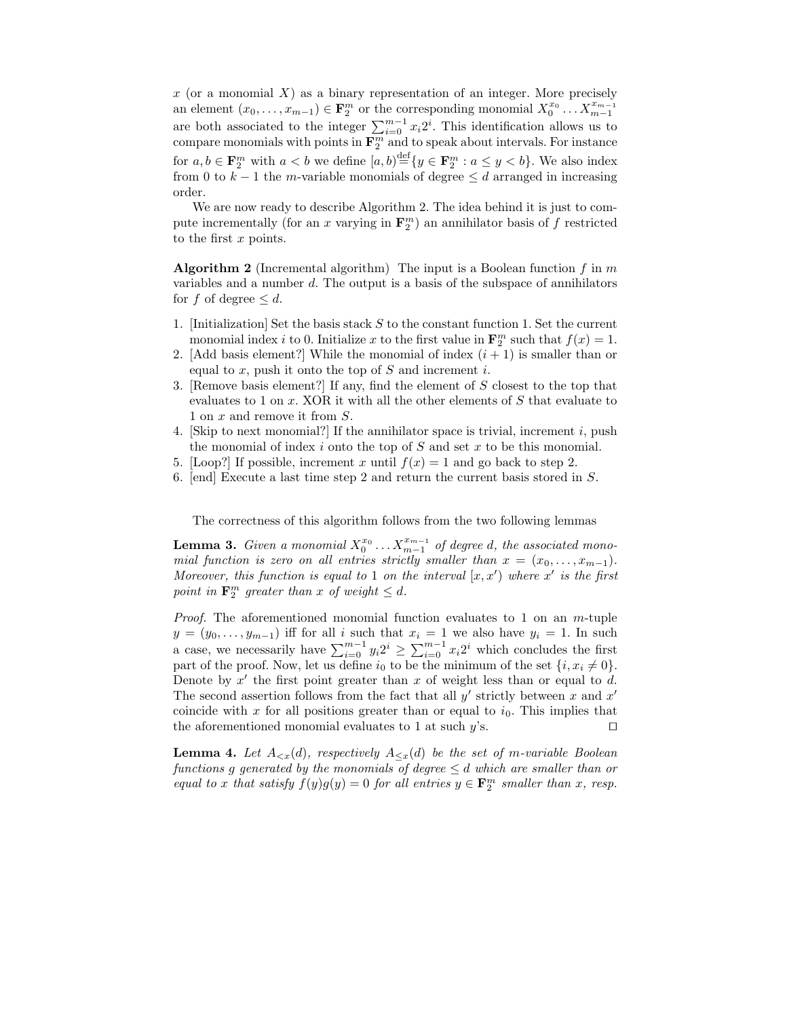x (or a monomial  $X$ ) as a binary representation of an integer. More precisely an element  $(x_0, \ldots, x_{m-1}) \in \mathbf{F}_2^m$  or the corresponding monomial  $X_0^{x_0} \ldots X_{m-1}^{x_{m-1}}$ are both associated to the integer  $\sum_{i=0}^{m-1} x_i 2^i$ . This identification allows us to compare monomials with points in  $\mathbf{F}_2^m$  and to speak about intervals. For instance for  $a, b \in \mathbf{F}_2^m$  with  $a < b$  we define  $[a, b]^{\text{def}}_2 \{y \in \mathbf{F}_2^m : a \leq y < b\}$ . We also index from 0 to  $k-1$  the m-variable monomials of degree  $\leq d$  arranged in increasing order.

We are now ready to describe Algorithm 2. The idea behind it is just to compute incrementally (for an x varying in  $\mathbf{F}_2^m$ ) an annihilator basis of f restricted to the first x points.

**Algorithm 2** (Incremental algorithm) The input is a Boolean function f in m variables and a number  $d$ . The output is a basis of the subspace of annihilators for f of degree  $\leq d$ .

- 1. [Initialization] Set the basis stack S to the constant function 1. Set the current monomial index *i* to 0. Initialize x to the first value in  $\mathbf{F}_2^m$  such that  $f(x) = 1$ .
- 2. [Add basis element?] While the monomial of index  $(i + 1)$  is smaller than or equal to  $x$ , push it onto the top of  $S$  and increment  $i$ .
- 3. [Remove basis element?] If any, find the element of S closest to the top that evaluates to 1 on x. XOR it with all the other elements of S that evaluate to 1 on  $x$  and remove it from  $S$ .
- 4. [Skip to next monomial?] If the annihilator space is trivial, increment  $i$ , push the monomial of index i onto the top of  $S$  and set  $x$  to be this monomial.
- 5. [Loop?] If possible, increment x until  $f(x) = 1$  and go back to step 2.
- 6. [end] Execute a last time step 2 and return the current basis stored in S.

The correctness of this algorithm follows from the two following lemmas

**Lemma 3.** Given a monomial  $X_0^{x_0} \ldots X_{m-1}^{x_{m-1}}$  of degree d, the associated monomial function is zero on all entries strictly smaller than  $x = (x_0, \ldots, x_{m-1})$ . Moreover, this function is equal to 1 on the interval  $[x, x']$  where x' is the first point in  $\mathbf{F}_2^m$  greater than x of weight  $\leq d$ .

Proof. The aforementioned monomial function evaluates to 1 on an m-tuple  $y = (y_0, \ldots, y_{m-1})$  iff for all i such that  $x_i = 1$  we also have  $y_i = 1$ . In such a case, we necessarily have  $\sum_{i=0}^{m-1} y_i 2^i \geq \sum_{i=0}^{m-1} x_i 2^i$  which concludes the first part of the proof. Now, let us define  $i_0$  to be the minimum of the set  $\{i, x_i \neq 0\}$ . Denote by  $x'$  the first point greater than  $x$  of weight less than or equal to  $d$ . The second assertion follows from the fact that all  $y'$  strictly between x and  $x'$ coincide with x for all positions greater than or equal to  $i_0$ . This implies that the aforementioned monomial evaluates to 1 at such  $y$ 's.

**Lemma 4.** Let  $A_{\leq x}(d)$ , respectively  $A_{\leq x}(d)$  be the set of m-variable Boolean functions g generated by the monomials of degree  $\leq d$  which are smaller than or equal to x that satisfy  $f(y)g(y) = 0$  for all entries  $y \in \mathbf{F}_2^m$  smaller than x, resp.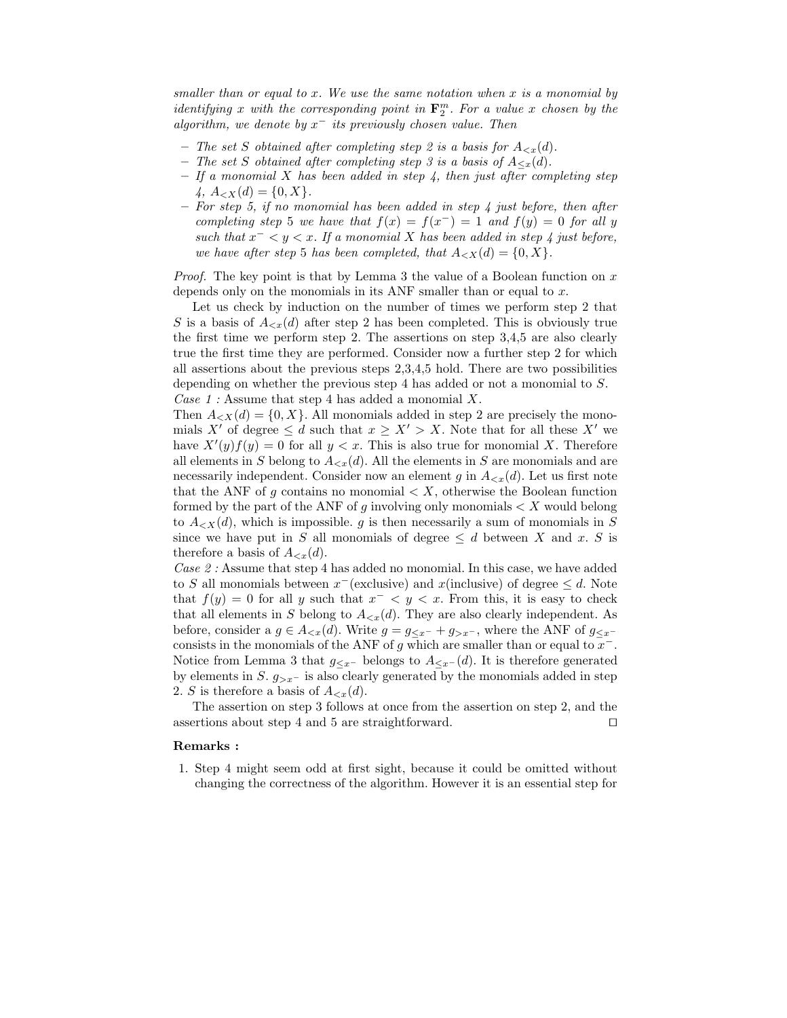smaller than or equal to x. We use the same notation when x is a monomial by *identifying* x with the corresponding point in  $\mathbf{F}_2^m$ . For a value x chosen by the algorithm, we denote by  $x^-$  its previously chosen value. Then

- The set S obtained after completing step 2 is a basis for  $A_{\leq x}(d)$ .
- The set S obtained after completing step 3 is a basis of  $A_{\leq x}(d)$ .
- $-$  If a monomial X has been added in step 4, then just after completing step  $\mathcal{A}, A_{\leq X}(d) = \{0, X\}.$
- $-$  For step 5, if no monomial has been added in step 4 just before, then after completing step 5 we have that  $f(x) = f(x^-) = 1$  and  $f(y) = 0$  for all y such that  $x^{-} < y < x$ . If a monomial X has been added in step 4 just before, we have after step 5 has been completed, that  $A_{\leq X}(d) = \{0, X\}.$

*Proof.* The key point is that by Lemma 3 the value of a Boolean function on  $x$ depends only on the monomials in its ANF smaller than or equal to  $x$ .

Let us check by induction on the number of times we perform step 2 that S is a basis of  $A_{\leq x}(d)$  after step 2 has been completed. This is obviously true the first time we perform step 2. The assertions on step 3,4,5 are also clearly true the first time they are performed. Consider now a further step 2 for which all assertions about the previous steps 2,3,4,5 hold. There are two possibilities depending on whether the previous step 4 has added or not a monomial to S. Case 1 : Assume that step 4 has added a monomial  $X$ .

Then  $A_{\leq X}(d) = \{0, X\}$ . All monomials added in step 2 are precisely the monomials X' of degree  $\leq d$  such that  $x \geq X' > X$ . Note that for all these X' we have  $X'(y)f(y) = 0$  for all  $y < x$ . This is also true for monomial X. Therefore all elements in S belong to  $A_{\leq x}(d)$ . All the elements in S are monomials and are necessarily independent. Consider now an element g in  $A_{\leq x}(d)$ . Let us first note that the ANF of g contains no monomial  $\langle X, \right)$  otherwise the Boolean function formed by the part of the ANF of g involving only monomials  $\lt X$  would belong to  $A_{\leq X}(d)$ , which is impossible. g is then necessarily a sum of monomials in S since we have put in S all monomials of degree  $\leq d$  between X and x. S is therefore a basis of  $A_{\leq x}(d)$ .

Case 2 : Assume that step 4 has added no monomial. In this case, we have added to S all monomials between  $x^-$  (exclusive) and  $x$  (inclusive) of degree  $\leq d$ . Note that  $f(y) = 0$  for all y such that  $x^{-} < y < x$ . From this, it is easy to check that all elements in S belong to  $A_{\leq x}(d)$ . They are also clearly independent. As before, consider a  $g \in A_{\leq x}(d)$ . Write  $g = g_{\leq x^-} + g_{>x^-}$ , where the ANF of  $g_{\leq x^-}$ consists in the monomials of the ANF of g which are smaller than or equal to  $\overline{x}^-$ . Notice from Lemma 3 that  $g_{\leq x^-}$  belongs to  $A_{\leq x^-}(d)$ . It is therefore generated by elements in S.  $g_{>x^-}$  is also clearly generated by the monomials added in step 2. S is therefore a basis of  $A_{\leq x}(d)$ .

The assertion on step 3 follows at once from the assertion on step 2, and the assertions about step 4 and 5 are straightforward.  $\square$ 

#### Remarks :

1. Step 4 might seem odd at first sight, because it could be omitted without changing the correctness of the algorithm. However it is an essential step for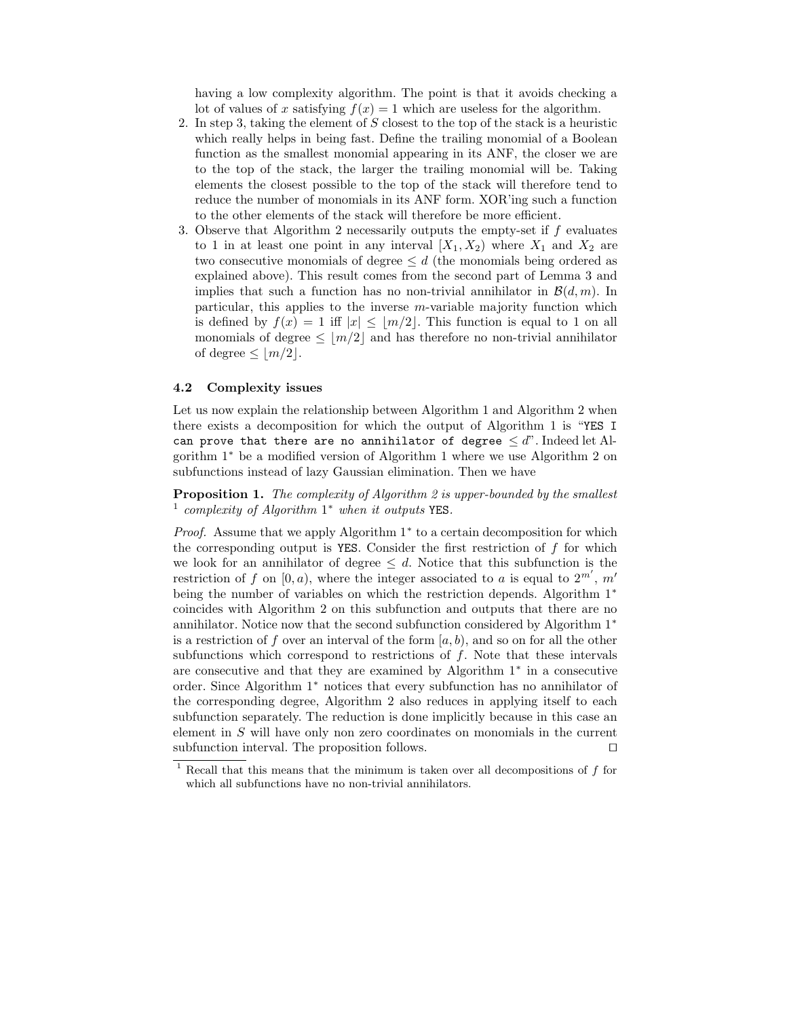having a low complexity algorithm. The point is that it avoids checking a lot of values of x satisfying  $f(x) = 1$  which are useless for the algorithm.

- 2. In step 3, taking the element of  $S$  closest to the top of the stack is a heuristic which really helps in being fast. Define the trailing monomial of a Boolean function as the smallest monomial appearing in its ANF, the closer we are to the top of the stack, the larger the trailing monomial will be. Taking elements the closest possible to the top of the stack will therefore tend to reduce the number of monomials in its ANF form. XOR'ing such a function to the other elements of the stack will therefore be more efficient.
- 3. Observe that Algorithm 2 necessarily outputs the empty-set if f evaluates to 1 in at least one point in any interval  $[X_1, X_2]$  where  $X_1$  and  $X_2$  are two consecutive monomials of degree  $\leq d$  (the monomials being ordered as explained above). This result comes from the second part of Lemma 3 and implies that such a function has no non-trivial annihilator in  $\mathcal{B}(d,m)$ . In particular, this applies to the inverse m-variable majority function which is defined by  $f(x) = 1$  iff  $|x| \le |m/2|$ . This function is equal to 1 on all monomials of degree  $\leq$  |m/2 and has therefore no non-trivial annihilator of degree  $\leq |m/2|$ .

## 4.2 Complexity issues

Let us now explain the relationship between Algorithm 1 and Algorithm 2 when there exists a decomposition for which the output of Algorithm 1 is "YES I can prove that there are no annihilator of degree  $\leq d$ ". Indeed let Algorithm 1 <sup>∗</sup> be a modified version of Algorithm 1 where we use Algorithm 2 on subfunctions instead of lazy Gaussian elimination. Then we have

**Proposition 1.** The complexity of Algorithm 2 is upper-bounded by the smallest  $\frac{1}{1}$  complexity of Algorithm  $1^*$  when it outputs YES.

Proof. Assume that we apply Algorithm  $1^*$  to a certain decomposition for which the corresponding output is YES. Consider the first restriction of  $f$  for which we look for an annihilator of degree  $\leq d$ . Notice that this subfunction is the restriction of f on  $[0, a)$ , where the integer associated to a is equal to  $2^{m'}$ , m' being the number of variables on which the restriction depends. Algorithm  $1^*$ coincides with Algorithm 2 on this subfunction and outputs that there are no annihilator. Notice now that the second subfunction considered by Algorithm 1<sup>\*</sup> is a restriction of f over an interval of the form  $[a, b)$ , and so on for all the other subfunctions which correspond to restrictions of  $f$ . Note that these intervals are consecutive and that they are examined by Algorithm  $1^*$  in a consecutive order. Since Algorithm  $1^*$  notices that every subfunction has no annihilator of the corresponding degree, Algorithm 2 also reduces in applying itself to each subfunction separately. The reduction is done implicitly because in this case an element in S will have only non zero coordinates on monomials in the current subfunction interval. The proposition follows.  $\Box$ 

Recall that this means that the minimum is taken over all decompositions of  $f$  for which all subfunctions have no non-trivial annihilators.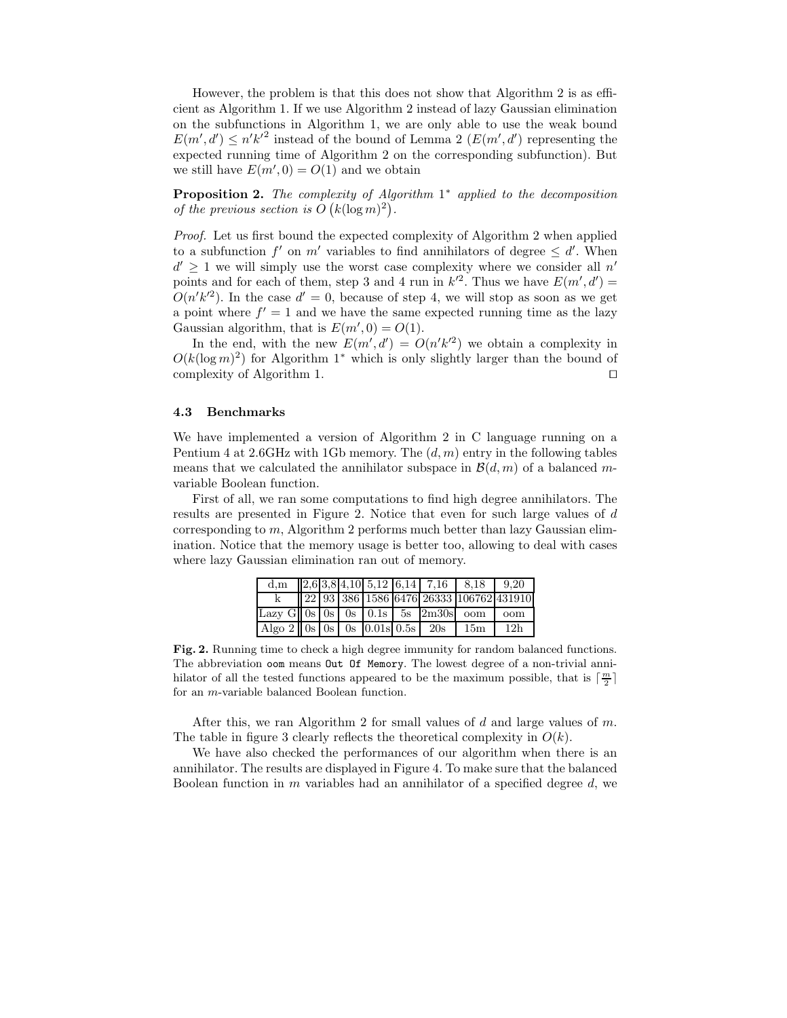However, the problem is that this does not show that Algorithm 2 is as efficient as Algorithm 1. If we use Algorithm 2 instead of lazy Gaussian elimination on the subfunctions in Algorithm 1, we are only able to use the weak bound  $E(m', d') \leq n'k'^2$  instead of the bound of Lemma 2  $(E(m', d')$  representing the expected running time of Algorithm 2 on the corresponding subfunction). But we still have  $E(m', 0) = O(1)$  and we obtain

**Proposition 2.** The complexity of Algorithm  $1^*$  applied to the decomposition of the previous section is  $O(k(\log m)^2)$ .

Proof. Let us first bound the expected complexity of Algorithm 2 when applied to a subfunction  $f'$  on  $m'$  variables to find annihilators of degree  $\leq d'$ . When  $d' \geq 1$  we will simply use the worst case complexity where we consider all  $n'$ points and for each of them, step 3 and 4 run in  $k^2$ . Thus we have  $E(m', d') =$  $O(n'k'^2)$ . In the case  $d' = 0$ , because of step 4, we will stop as soon as we get a point where  $f' = 1$  and we have the same expected running time as the lazy Gaussian algorithm, that is  $E(m', 0) = O(1)$ .

In the end, with the new  $E(m', d') = O(n'k'^2)$  we obtain a complexity in  $O(k(\log m)^2)$  for Algorithm 1<sup>\*</sup> which is only slightly larger than the bound of complexity of Algorithm 1.  $\Box$ 

#### 4.3 Benchmarks

We have implemented a version of Algorithm 2 in C language running on a Pentium 4 at 2.6GHz with 1Gb memory. The  $(d, m)$  entry in the following tables means that we calculated the annihilator subspace in  $\mathcal{B}(d, m)$  of a balanced mvariable Boolean function.

First of all, we ran some computations to find high degree annihilators. The results are presented in Figure 2. Notice that even for such large values of d corresponding to m, Algorithm 2 performs much better than lazy Gaussian elimination. Notice that the memory usage is better too, allowing to deal with cases where lazy Gaussian elimination ran out of memory.

| d.m                                                                                                                                   |  |  |  | $\left  2,6 \right  3,8 \left  4,10 \right  5,12 \left  6,14 \right  7,16 \left  8,18 \right  9,20$ |       |
|---------------------------------------------------------------------------------------------------------------------------------------|--|--|--|-----------------------------------------------------------------------------------------------------|-------|
|                                                                                                                                       |  |  |  | 22   93   386   1586   6476   26333   106762   431910                                               |       |
| Lazy G $\left  \right $ 0s $\left  \right $ 0s $\left  \right $ 0.1s $\left  \right $ 5s $\left  \right $ 2m30s $\left  \right $ 0.0m |  |  |  |                                                                                                     | l oom |
| Algo $2 \mid 0s \mid 0s \mid 0s \mid 0.01s \mid 0.5s \mid 20s \mid 15m$                                                               |  |  |  |                                                                                                     | - 12h |

Fig. 2. Running time to check a high degree immunity for random balanced functions. The abbreviation oom means Out Of Memory. The lowest degree of a non-trivial annihilator of all the tested functions appeared to be the maximum possible, that is  $\lceil \frac{m}{2} \rceil$ for an m-variable balanced Boolean function.

After this, we ran Algorithm 2 for small values of d and large values of  $m$ . The table in figure 3 clearly reflects the theoretical complexity in  $O(k)$ .

We have also checked the performances of our algorithm when there is an annihilator. The results are displayed in Figure 4. To make sure that the balanced Boolean function in m variables had an annihilator of a specified degree d, we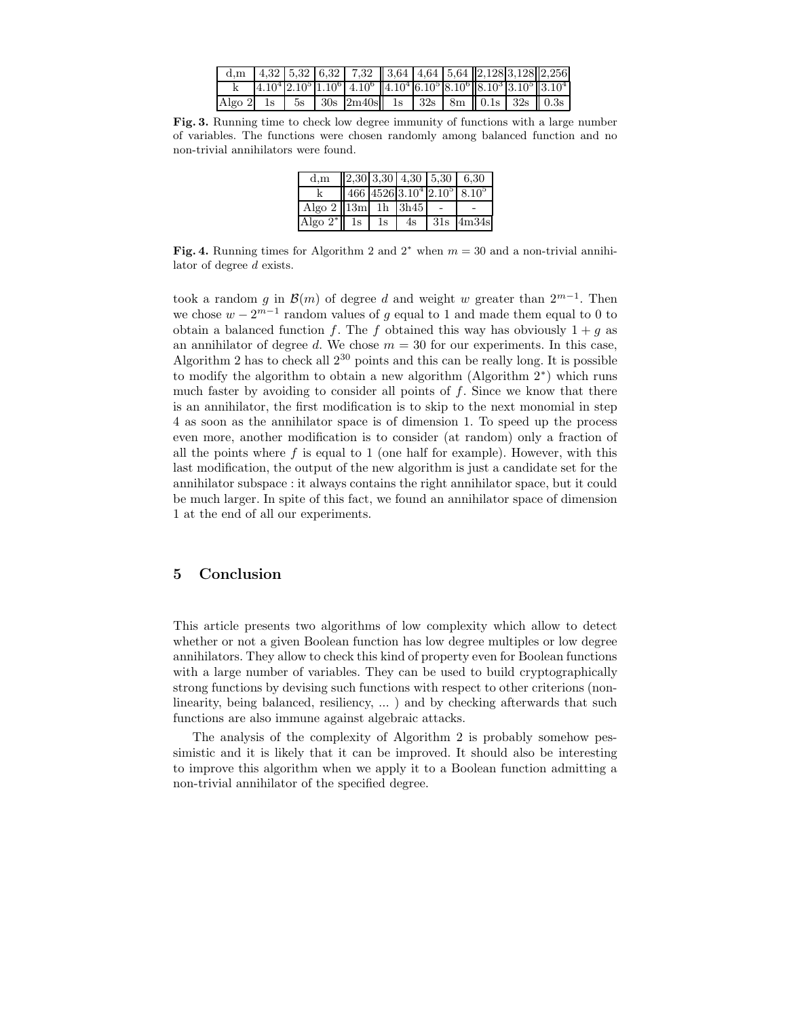| d,m   4,32   5,32   6,32   7,32    3,64   4,64   5,64    2,128    3,128    2,256 |  |                                                                                                                                                     |  |  |  |
|----------------------------------------------------------------------------------|--|-----------------------------------------------------------------------------------------------------------------------------------------------------|--|--|--|
|                                                                                  |  | $\left 4.10^{4}\right 2.10^{5}\left 1.10^{6}\right 4.10^{6}\left 4.10^{4}\right 6.10^{5}\left 8.10^{6}\right 8.10^{3}\left 3.10^{5}\right 3.10^{4}$ |  |  |  |
| Algo 2 1s 5s 30s 2m40s 1s 32s 8m 0.1s 32s 0.3s 0.3s                              |  |                                                                                                                                                     |  |  |  |

Fig. 3. Running time to check low degree immunity of functions with a large number of variables. The functions were chosen randomly among balanced function and no non-trivial annihilators were found.

| d.m                       |    |    |    | $\left  2,30 \right  3,30 \left  4,30 \right  5,30 \left  6,30 \right $    |
|---------------------------|----|----|----|----------------------------------------------------------------------------|
|                           |    |    |    | $\parallel$ 466 4526 3.10 <sup>4</sup> 2.10 <sup>5</sup> 8.10 <sup>5</sup> |
| Algo $2$   13m  1h   3h45 |    |    |    |                                                                            |
| Algo $2^*$                | 1s | 1s | 4s | $31s$ 4m $34s$                                                             |

Fig. 4. Running times for Algorithm 2 and  $2^*$  when  $m = 30$  and a non-trivial annihilator of degree d exists.

took a random g in  $\mathcal{B}(m)$  of degree d and weight w greater than  $2^{m-1}$ . Then we chose  $w - 2^{m-1}$  random values of g equal to 1 and made them equal to 0 to obtain a balanced function f. The f obtained this way has obviously  $1 + q$  as an annihilator of degree d. We chose  $m = 30$  for our experiments. In this case, Algorithm 2 has to check all  $2^{30}$  points and this can be really long. It is possible to modify the algorithm to obtain a new algorithm (Algorithm 2<sup>\*</sup>) which runs much faster by avoiding to consider all points of  $f$ . Since we know that there is an annihilator, the first modification is to skip to the next monomial in step 4 as soon as the annihilator space is of dimension 1. To speed up the process even more, another modification is to consider (at random) only a fraction of all the points where  $f$  is equal to 1 (one half for example). However, with this last modification, the output of the new algorithm is just a candidate set for the annihilator subspace : it always contains the right annihilator space, but it could be much larger. In spite of this fact, we found an annihilator space of dimension 1 at the end of all our experiments.

## 5 Conclusion

This article presents two algorithms of low complexity which allow to detect whether or not a given Boolean function has low degree multiples or low degree annihilators. They allow to check this kind of property even for Boolean functions with a large number of variables. They can be used to build cryptographically strong functions by devising such functions with respect to other criterions (nonlinearity, being balanced, resiliency, ... ) and by checking afterwards that such functions are also immune against algebraic attacks.

The analysis of the complexity of Algorithm 2 is probably somehow pessimistic and it is likely that it can be improved. It should also be interesting to improve this algorithm when we apply it to a Boolean function admitting a non-trivial annihilator of the specified degree.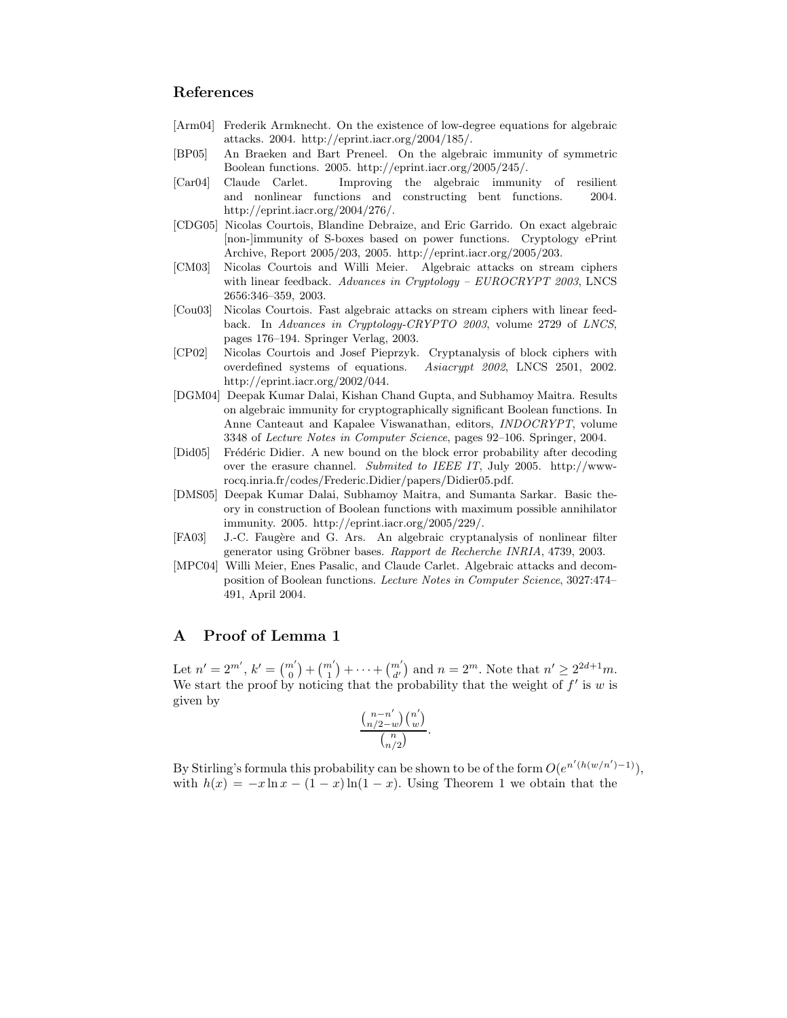## References

- [Arm04] Frederik Armknecht. On the existence of low-degree equations for algebraic attacks. 2004. http://eprint.iacr.org/2004/185/.
- [BP05] An Braeken and Bart Preneel. On the algebraic immunity of symmetric Boolean functions. 2005. http://eprint.iacr.org/2005/245/.
- [Car04] Claude Carlet. Improving the algebraic immunity of resilient and nonlinear functions and constructing bent functions. 2004. http://eprint.iacr.org/2004/276/.
- [CDG05] Nicolas Courtois, Blandine Debraize, and Eric Garrido. On exact algebraic [non-]immunity of S-boxes based on power functions. Cryptology ePrint Archive, Report 2005/203, 2005. http://eprint.iacr.org/2005/203.
- [CM03] Nicolas Courtois and Willi Meier. Algebraic attacks on stream ciphers with linear feedback. Advances in Cryptology - EUROCRYPT 2003, LNCS 2656:346–359, 2003.
- [Cou03] Nicolas Courtois. Fast algebraic attacks on stream ciphers with linear feedback. In Advances in Cryptology-CRYPTO 2003, volume 2729 of LNCS, pages 176–194. Springer Verlag, 2003.
- [CP02] Nicolas Courtois and Josef Pieprzyk. Cryptanalysis of block ciphers with overdefined systems of equations. Asiacrypt 2002, LNCS 2501, 2002. http://eprint.iacr.org/2002/044.
- [DGM04] Deepak Kumar Dalai, Kishan Chand Gupta, and Subhamoy Maitra. Results on algebraic immunity for cryptographically significant Boolean functions. In Anne Canteaut and Kapalee Viswanathan, editors, INDOCRYPT, volume 3348 of Lecture Notes in Computer Science, pages 92–106. Springer, 2004.
- [Did05] Frédéric Didier. A new bound on the block error probability after decoding over the erasure channel. Submited to IEEE IT, July 2005. http://wwwrocq.inria.fr/codes/Frederic.Didier/papers/Didier05.pdf.
- [DMS05] Deepak Kumar Dalai, Subhamoy Maitra, and Sumanta Sarkar. Basic theory in construction of Boolean functions with maximum possible annihilator immunity. 2005. http://eprint.iacr.org/2005/229/.
- [FA03] J.-C. Faugère and G. Ars. An algebraic cryptanalysis of nonlinear filter generator using Gröbner bases. Rapport de Recherche INRIA, 4739, 2003.
- [MPC04] Willi Meier, Enes Pasalic, and Claude Carlet. Algebraic attacks and decomposition of Boolean functions. Lecture Notes in Computer Science, 3027:474– 491, April 2004.

# A Proof of Lemma 1

Let  $n' = 2^{m'}$ ,  $k' = {m' \choose 0} + {m' \choose 1} + \cdots + {m' \choose d'}$  and  $n = 2^m$ . Note that  $n' \ge 2^{2d+1}m$ . We start the proof by noticing that the probability that the weight of  $f'$  is  $w$  is given by

$$
\frac{{n-n' \choose n/2-w} {n' \choose w}}{{n \choose n/2}}.
$$

By Stirling's formula this probability can be shown to be of the form  $O(e^{n'(h(w/n')-1)}),$ with  $h(x) = -x \ln x - (1 - x) \ln(1 - x)$ . Using Theorem 1 we obtain that the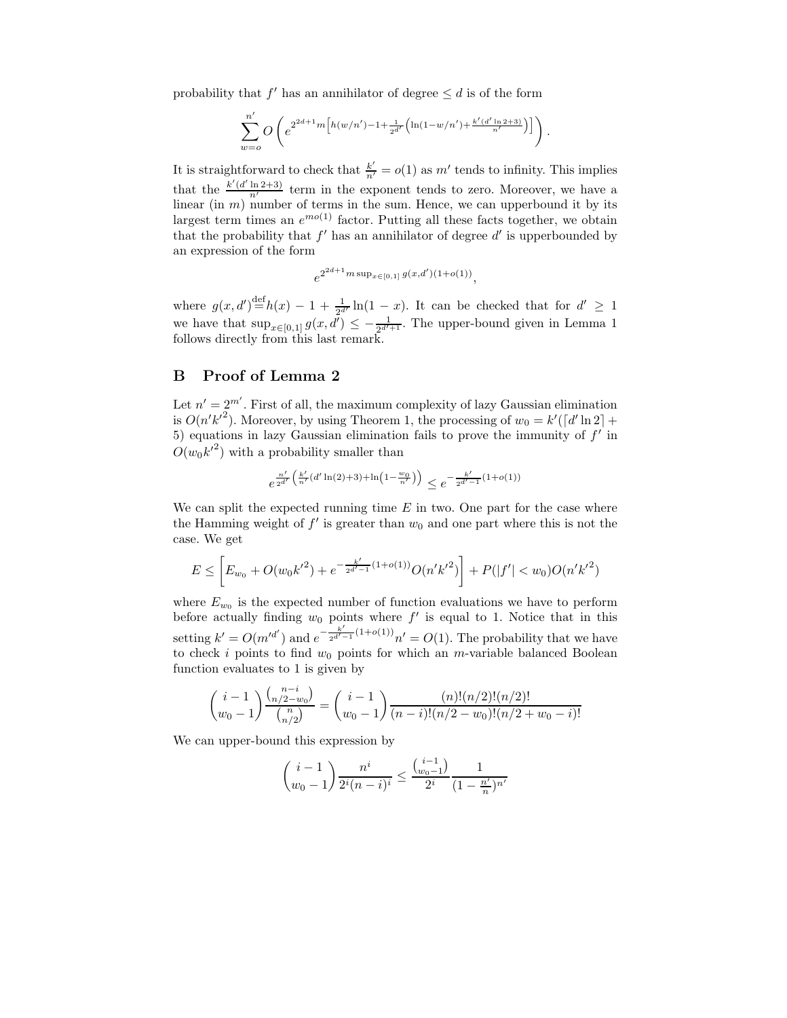probability that  $f'$  has an annihilator of degree  $\leq d$  is of the form

$$
\sum_{w=o}^{n'} O\left(e^{2^{2d+1}m\left[h(w/n')-1+\frac{1}{2^{d'}}\left(\ln(1-w/n')+\frac{k'(d'\ln 2+3)}{n'}\right)\right]}\right).
$$

It is straightforward to check that  $\frac{k'}{n'} = o(1)$  as m' tends to infinity. This implies that the  $\frac{k'(d' \ln 2+3)}{n'}$  term in the exponent tends to zero. Moreover, we have a linear (in  $m$ ) number of terms in the sum. Hence, we can upperbound it by its largest term times an  $e^{mo(1)}$  factor. Putting all these facts together, we obtain that the probability that  $f'$  has an annihilator of degree  $d'$  is upperbounded by an expression of the form

$$
e^{2^{2d+1}m\sup_{x\in[0,1]}g(x,d')(1+o(1))},
$$

where  $g(x, d') \stackrel{\text{def}}{=} h(x) - 1 + \frac{1}{2^{d'}} \ln(1 - x)$ . It can be checked that for  $d' \geq 1$ we have that  $\sup_{x \in [0,1]} g(x, d') \leq -\frac{1}{2^{d'}}$  $\frac{1}{2^{d'+1}}$ . The upper-bound given in Lemma 1 follows directly from this last remark.

# B Proof of Lemma 2

Let  $n' = 2^{m'}$ . First of all, the maximum complexity of lazy Gaussian elimination is  $O(n'k'^2)$ . Moreover, by using Theorem 1, the processing of  $w_0 = k'(\lceil d' \ln 2 \rceil +$ 5) equations in lazy Gaussian elimination fails to prove the immunity of  $f'$  in  $O(w_0k^2)$  with a probability smaller than

$$
e^{\frac{n'}{2^{d'}} \left(\frac{k'}{n'}(d'\ln(2)+3) + \ln\left(1 - \frac{w_0}{n'}\right)\right)} \le e^{-\frac{k'}{2^{d'-1}}(1 + o(1))}
$$

We can split the expected running time  $E$  in two. One part for the case where the Hamming weight of  $f'$  is greater than  $w_0$  and one part where this is not the case. We get

$$
E \le \left[ E_{w_0} + O(w_0 k'^2) + e^{-\frac{k'}{2^{d'-1}}(1+o(1))} O(n'k'^2) \right] + P(|f'| < w_0) O(n'k'^2)
$$

where  $E_{w_0}$  is the expected number of function evaluations we have to perform before actually finding  $w_0$  points where  $f'$  is equal to 1. Notice that in this setting  $k' = O(m'^{d'})$  and  $e^{-\frac{k'}{2^{d'-1}}(1+o(1))}n' = O(1)$ . The probability that we have to check i points to find  $w_0$  points for which an m-variable balanced Boolean function evaluates to 1 is given by

$$
\binom{i-1}{w_0-1} \frac{\binom{n-i}{n/2-w_0}}{\binom{n}{n/2}} = \binom{i-1}{w_0-1} \frac{(n)!(n/2)!(n/2)!}{(n-i)!(n/2-w_0)!(n/2+w_0-i)!}
$$

We can upper-bound this expression by

$$
\binom{i-1}{w_0-1} \frac{n^i}{2^i (n-i)^i} \le \frac{\binom{i-1}{w_0-1}}{2^i} \frac{1}{(1-\frac{n'}{n})^{n'}}
$$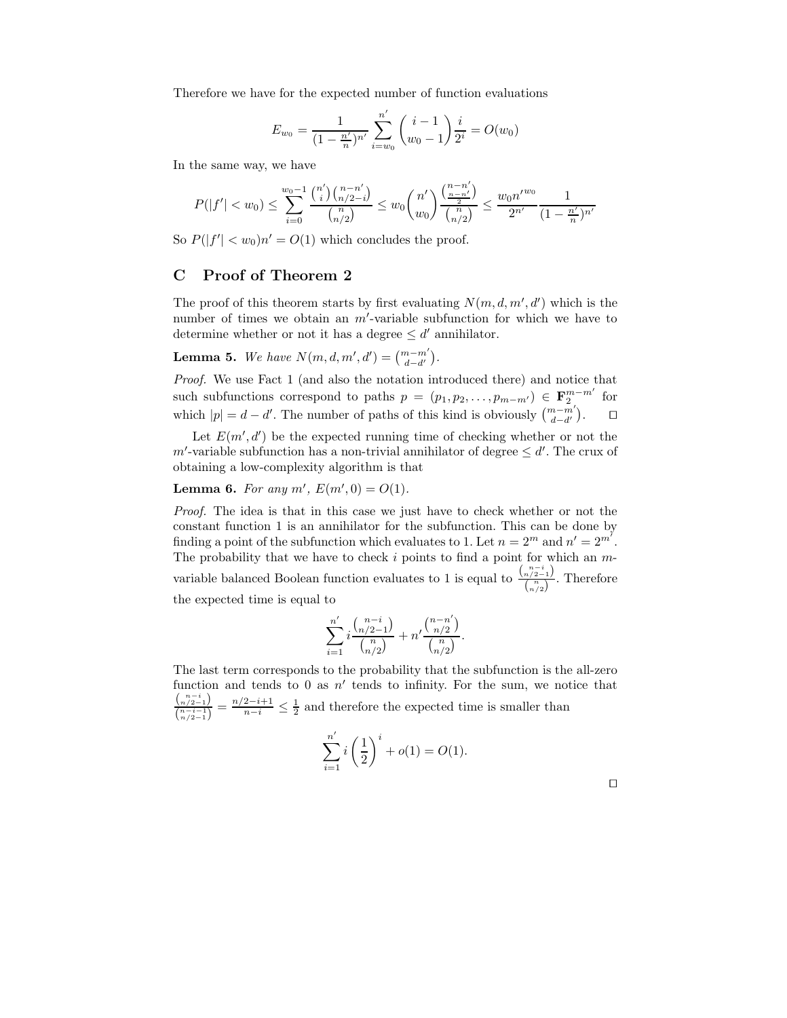Therefore we have for the expected number of function evaluations

$$
E_{w_0} = \frac{1}{(1 - \frac{n'}{n})^{n'}} \sum_{i=w_0}^{n'} {i-1 \choose w_0 - 1} \frac{i}{2^i} = O(w_0)
$$

In the same way, we have

$$
P(|f'| < w_0) \le \sum_{i=0}^{w_0-1} \frac{\binom{n'}{i}\binom{n-n'}{n/2-i}}{\binom{n}{n/2}} \le w_0 \binom{n'}{w_0} \frac{\binom{n-n'}{n-n'}}{\binom{n}{n/2}} \le \frac{w_0 n'^{w_0}}{2^{n'}} \frac{1}{(1-\frac{n'}{n})^{n'}}
$$

So  $P(|f'| < w_0)n' = O(1)$  which concludes the proof.

# C Proof of Theorem 2

The proof of this theorem starts by first evaluating  $N(m, d, m', d')$  which is the number of times we obtain an  $m'$ -variable subfunction for which we have to determine whether or not it has a degree  $\leq d'$  annihilator.

**Lemma 5.** We have  $N(m, d, m', d') = {m-m' \choose d-d'}$ .

Proof. We use Fact 1 (and also the notation introduced there) and notice that such subfunctions correspond to paths  $p = (p_1, p_2, \ldots, p_{m-m'}) \in \mathbf{F}_2^{m-m'}$  for which  $|p| = d - d'$ . The number of paths of this kind is obviously  $\binom{m - m'}{d - d'}$ .  $\Box$ 

Let  $E(m', d')$  be the expected running time of checking whether or not the m'-variable subfunction has a non-trivial annihilator of degree  $\leq d'$ . The crux of obtaining a low-complexity algorithm is that

**Lemma 6.** For any  $m'$ ,  $E(m', 0) = O(1)$ .

Proof. The idea is that in this case we just have to check whether or not the constant function 1 is an annihilator for the subfunction. This can be done by finding a point of the subfunction which evaluates to 1. Let  $n = 2^m$  and  $n' = 2^{m'}$ . The probability that we have to check  $i$  points to find a point for which an  $m$ variable balanced Boolean function evaluates to 1 is equal to  $\frac{\binom{n-i}{n/2-i}}{\binom{n}{n}}$  $\frac{\binom{n}{2}-1}{\binom{n}{n/2}}$ . Therefore the expected time is equal to

$$
\sum_{i=1}^{n'} i \frac{\binom{n-i}{n/2-1}}{\binom{n}{n/2}} + n' \frac{\binom{n-n'}{n/2}}{\binom{n}{n/2}}.
$$

The last term corresponds to the probability that the subfunction is the all-zero function and tends to  $0$  as  $n'$  tends to infinity. For the sum, we notice that  $\binom{n-i}{n/2-1}$  $\frac{\binom{n}{2}-1}{\binom{n}{2}-1} = \frac{n/2-i+1}{n-i} \leq \frac{1}{2}$  and therefore the expected time is smaller than

$$
\sum_{i=1}^{n'} i\left(\frac{1}{2}\right)^i + o(1) = O(1).
$$

| ۰ | ٦ |
|---|---|
|   |   |
|   |   |
|   |   |